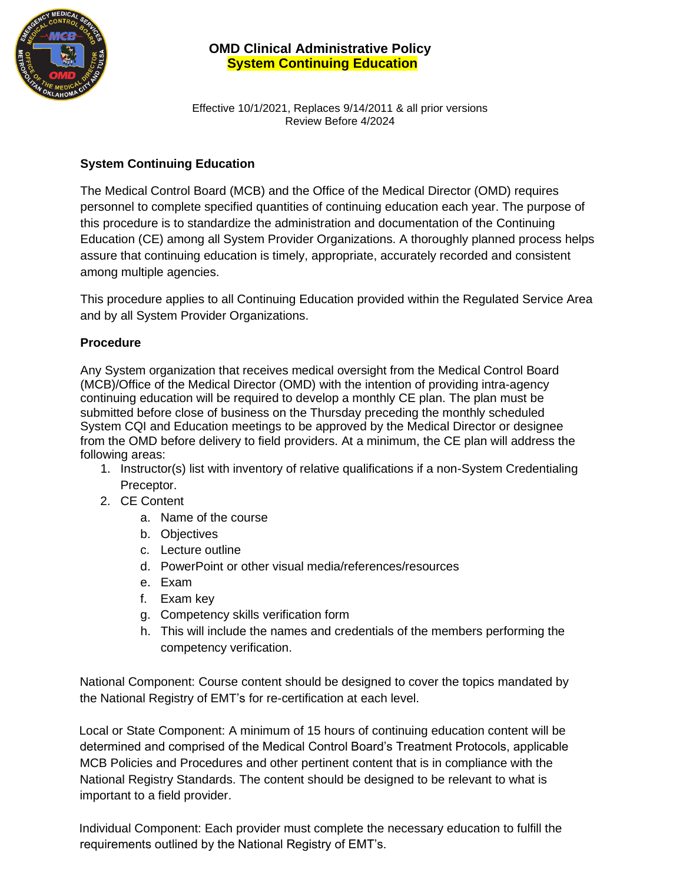

## **OMD Clinical Administrative Policy System Continuing Education**

Effective 10/1/2021, Replaces 9/14/2011 & all prior versions Review Before 4/2024

## **System Continuing Education**

The Medical Control Board (MCB) and the Office of the Medical Director (OMD) requires personnel to complete specified quantities of continuing education each year. The purpose of this procedure is to standardize the administration and documentation of the Continuing Education (CE) among all System Provider Organizations. A thoroughly planned process helps assure that continuing education is timely, appropriate, accurately recorded and consistent among multiple agencies.

This procedure applies to all Continuing Education provided within the Regulated Service Area and by all System Provider Organizations.

## **Procedure**

Any System organization that receives medical oversight from the Medical Control Board (MCB)/Office of the Medical Director (OMD) with the intention of providing intra-agency continuing education will be required to develop a monthly CE plan. The plan must be submitted before close of business on the Thursday preceding the monthly scheduled System CQI and Education meetings to be approved by the Medical Director or designee from the OMD before delivery to field providers. At a minimum, the CE plan will address the following areas:

- 1. Instructor(s) list with inventory of relative qualifications if a non-System Credentialing Preceptor.
- 2. CE Content
	- a. Name of the course
	- b. Objectives
	- c. Lecture outline
	- d. PowerPoint or other visual media/references/resources
	- e. Exam
	- f. Exam key
	- g. Competency skills verification form
	- h. This will include the names and credentials of the members performing the competency verification.

National Component: Course content should be designed to cover the topics mandated by the National Registry of EMT's for re-certification at each level.

Local or State Component: A minimum of 15 hours of continuing education content will be determined and comprised of the Medical Control Board's Treatment Protocols, applicable MCB Policies and Procedures and other pertinent content that is in compliance with the National Registry Standards. The content should be designed to be relevant to what is important to a field provider.

Individual Component: Each provider must complete the necessary education to fulfill the requirements outlined by the National Registry of EMT's.